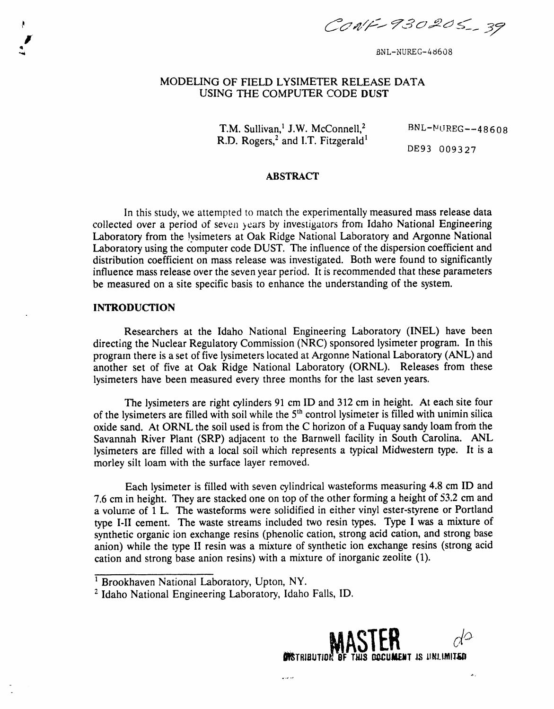CONF-930205-39

BNL-NUREG-48608

# **M**ODELING OF FIEL**D** LYSI**ME**TER **R**E**LE**ASE **D**ATA **U**SING T**H**E C**OM**P**UT**ER CODE **DU**ST

T.M. Sullivan,<sup>1</sup> J.W. McConnell,<sup>2</sup> BNL-NUREG--48608 R.D. Rogers, $^2$  and I.T. Fitzgerald<sup>1</sup>

**D**E93 0093 27

## **ABS**T**RA**C**T**

In this study*,* we attempted to mat*c*h the experimentally measured ma*s*s release data *collected over a period of seven years by investigators from Idaho National Engineering* Lab**o**ratory **f**r**o**m the !ysimeters at Oak Ridge National Laboratory and Arg**o**nne National Lab**o**ratory using the computer code DUST. The influence of the dispersion c**o**e**ff**icient and distribut**io**n coefficient on mass release was investigated. Both were found to significantly influence mass release over the se**v**en year period. It is recommended that these parameters be measured on a site specific basis to enhance the understanding of the system.

## **INTR**O**DUCTION**

i

Researchers at the Idaho National Engineering Laboratory (INEL) have been directing the Nuclear Regulatory Commission (NRC) sponsored lysimeter program. In this program there is a set of five lysimeters located at Argonne National Laboratory (ANL) and another set of five at Oak Ridge National Laboratory (ORNL). Releases from these lysimeters have been measured every three months for the last seven years.

*T*he lysimeters are right cylinders 91 cm ID and 312 cm in height. At each site four of the lysimeters are filled with soil while the 5<sup>th</sup> control lysimeter is filled with unimin silica oxide sand. At ORNL the soil used is from the C horizon of a Fuquay sandy loam from the Savannah River Plant (SRP) adjacent to the Barnwell facility in South Carolina. ANL lysimeters are filled with a local soil which represents a typical Midwestern type. lt is a morley silt loam with the surface layer removed.

Each lysimeter is filled with seven cylindrical wasteforms measuring 4.8 cm ID and 7.6 cm in height. They are stacked one on top of the other forming a height of 53.2 cm and a volume of 1 L. The wasteforms were solidified in either vinyl ester-styrene or Portland type I-II cement. The waste streams included two resin types. Type I wa*s* a mixture of synthetic organic ion exchange resins (phenolic cation, strong acid cation, and strong base anion) while the type II resin was a mixture of synthetic ion exchange resins (strong acid cation and strong base anion resins) with a mixture of inorganic zeolite (1).

z I**d**aho **N**ational Engineering Laboratory, Idah**o** Falls, ID.



 $\ddot{\phantom{a}}$ 

<sup>&</sup>lt;sup>1</sup> Brookhaven National Laboratory, Upton, NY.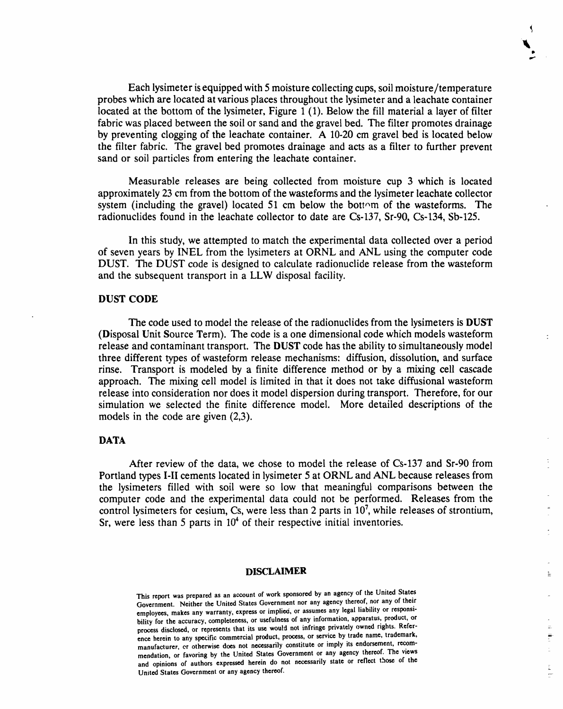Ea**c**h l**y**simeter is equipped with 5 mois**t**ure **c**ollecting **c**ups, soil moisture*/*temp**e**rature probes which are located at various places throughout the lysimeter and a leachate container located at the bottom of the lysimeter, Figure  $1(1)$ . Below the fill material a layer of filter fabric was placed between the soil or sand and the gravel bed. The filter promotes drainage by preventing clogging of the leachate container. A 10-20 cm gravel bed is located below the filter fabric. The gravel bed promotes drainage and acts as a filter to further prevent sand or soil particles from entering the leachate container.

Ib **ts**,**,**-

호

Measurable releases are being collected from moisture cup 3 which is located approximately 23 cm from the bottom of the wasteforms and the lysimeter leachate collector system (including the gravel) located 51 cm below the bottom of the wasteforms. The radionuclides found in the leachate collector to date are Cs-137, Sr-90, Cs-134, Sb-125.

In this study, we attempted to match the experimental data collected over a period of seven years by INEL from the lysimeters at ORNL and ANL using the computer code DUST. The DUST code is designed to calculate radionuclide release from the wasteform and the subsequent transport in a LLW disposal facility.

## **DU**S**T** CO**DE**

The **c**ode used to model the release of the radionuclides from the lysimeters is **D**US*T* (Disposal Unit Source *T*erm). The code is a one dimensional code which models wasteform release and contaminant transport. The DUS*T* code has the ability to simultaneously model three different types of wasteform release mechanisms: diffusion, dissolution, and surface rinse. Transport is modeled by a finite difference method or by a mixing cell cascade approach. The mixing cell model is limited in that it does not take diffusional wasteform release into consideration nor does it model dispersion during transport. Therefore, for our simulation we selected the finite difference model. More detailed descriptions of the models in the code are given (2,3).

## **DATA**

After review of the data, we chose to model the release of Cs-137 and Sr-90 from Portland types I-II cements lo*c*ated in lysimeter 5 at ORNL and ANL because releases from the lysimeters filled with soil were so low that meaningful comparisons between the computer code and the experimental data could not be performed. Releases from the control lysimeters for cesium, Cs, were less than 2 parts in  $10^7$ , while releases of strontium, Sr, were less than 5 parts in 10**4** of their respective initial inventories.

#### **DIS***C***LAIMER**

This report was prepared as an account of work sponsored by an agency of the United States Government. Neither the United States Government nor any agency thereof, nor any of their emp**lo**yees, **m**a**k**es any war**r**anty, exp**r**ess **or i**mp**li**e**d**, **or** assumes any **l**e**g**a**l li**ab**ilit**y **or** res**po**ns**i**b**ilit**y **for t**he accuracy, c**o**mp**l**ete**n**ess, **o**r use**f**u**l**ness **o**f an**y i**n**for**mat**io**n**,** ap**p**a**r**atus**, prod**u**c**t**, or** process disclosed, or represents that its use would not mean a series by trade name, trademark. ence herein to any specific commercial product, process, or service by trade name, trademark, ma**nufa**c**tur**er, o**r o**t**h**erwise doe**s** n**ot n**ece**s**s**a**rily co**ns**t**i**tut**e or** imply its end**or**sement**,** reco**m**me**n**dation, or favorin**g** by the United Sta**t**e**s** Government or a**n**y a**g**ency thereof. The view**s a**n**d op**ini**ons o**f auth**ors** ex**press**e**d h**e**r**ei**n** d**o not n**ece**ssa**r**i**l**y s**t**a**te **or re**fl**e**ct th**os**e **of** the U**n**i**t**ed **Stat**e**s Gov**e**r**n**m**e**nt or any a**g**ency th**e**r**e**of.**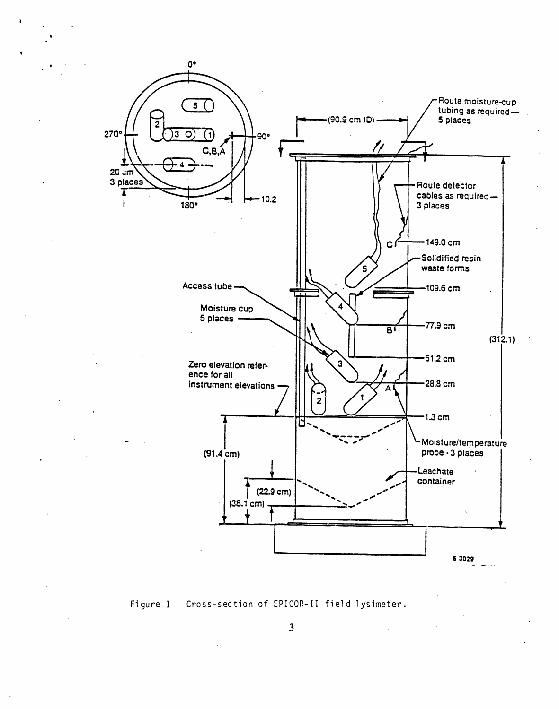



 $3<sup>1</sup>$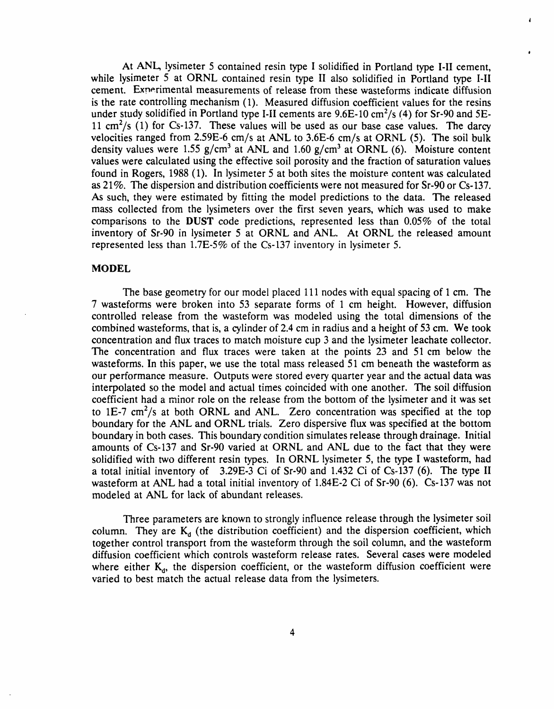At ANL, lysimeter 5 contained resin type I solidified in Portland type I-II cement, while lysimeter 5 at ORNL contained resin type II also solidified in Portland type I-II cement. Experimental measurements of release from these wasteforms indicate diffusion is the rate controlling mechanism (1). Measured diffusion coefficient values for the resins under study solidified in Portland type I-II cements are 9.6E-10 cm2*/*s (4) for Sr-90 and 5E-11 cm2*/*s (1) for Cs-137. These values will be used as our base case values. The darcy velocities ranged from 2.59E-6 cm*/*s at ANL to 3.6E-6 cm*/*s at ORNL (5). The soil bulk density values were 1.55 g/cm<sup>3</sup> at ANL and 1.60 g/cm<sup>3</sup> at ORNL (6). Moisture content values were calculated using the effective soil porosity and the fraction of saturation values found in Rogers, 1988 (1). In lysimeter 5 at both sites the moisture content was calculated as 21%. The dispersion and distribution coefficients were not measured for Sr**-**90 or Cs**-**137. As such, they were estimated by fitting the model predictions to the data. The released mass collected from the lysimeters over the first seven years, which was used to make comparisons to the DUST code predi*c*tions**,** represented less than 0.05% of the total inventory of Sr-90 in lysimeter 5 at ORNL and ANL. At ORNL the released amount represented less than 1.7E-5% of the Cs**-**137 inventory in lysimeter 5.

e

## MOD**E**L

The base geometry for our model placed **11**1 nodes with equal spacing of 1 *c*m. The 7 wasteforms were *b*roken into 53 separate forms of 1 cm height. However, diffusion controlled release from the wasteform was modeled using the total dimensions of the *combined wasteforms, that is, a cylinder of 2.4 cm in radius and a height of 53 cm. We took* concentration and flux traces to match moisture cup 3 and the lysimeter leachate collector. The concentration and flux traces were taken at the points 23 and 51 cm below the wasteforms. In this paper, we use the total mass released 51 cm beneath the wasteform as our performance measure. Outputs were stored every quarter year and the actual data was interpolated so the model and actual times coincided with one another. The soil diffusion coefficient had a minor role on the release from the bottom of the lysimeter and it was set to 1E-7 cm<sup>2</sup>/s at both ORNL and ANL. Zero concentration was specified at the top boundary for the ANL and ORNL trials. Zero dispersive flux was specified at the bottom boundary in both cases. This boundary condition simulates release through drainage. Initial amounts of Cs-137 and Sr**-**90 varied at ORNL and ANL due to the fact that they were solidified with two different resin types. In ORNL lysimeter 5, the type I wasteform, had a total initial inventory of 3.29E**-**3 Ci of Sr-90 and 1.432 Ci of Cs-**1**37 (6). The type II wasteform at ANL had a total initial inventory of 1.84E-2 Ci of Sr**-**90 (6). Cs**-**137 was not modeled at ANL for lack of abundant releases.

Three parameters are known to strongly influence release through the lysimeter soil column. They are  $K_d$  (the distribution coefficient) and the dispersion coefficient, which together *c*ontrol transport from the wasteform through the soil column, and the wasteform diffusion coeffi*c*ient which controls wasteform release rates. Several *c*ases were modeled where either  $K_d$ , the dispersion coefficient, or the wasteform diffusion coefficient were varied to best match the actual release data from the lysimeters.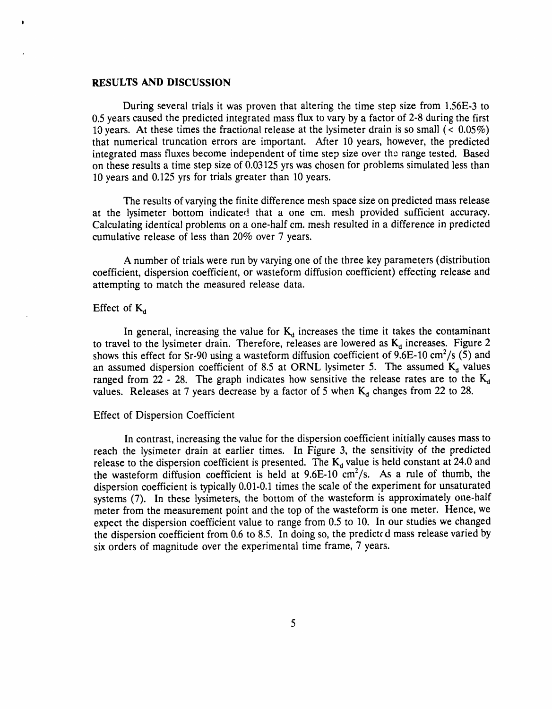#### **RESULTS AND DISCUSSION**

During sever**a**l trials it was proven that **a**ltering the time step size from 1.56E**-**3 to 0.5 years caused the predicted integrated mass flux to vary by a factor of 2**-**8 during the first 10 years. At these times the fracti**o***n*al release at the lysimeter drain is so small (< 0.05%) that numerical truncation errors are important. After 10 years, however, the predicted integrated mass fluxes become independent of time step size over the range tested. Based on these results a time step size of 0.03125 yrs was chosen for **p**roblems simulated less than 10 years and 0.125 yrs for trials greater than 10 years.

The results of varying the finite difference mesh space size on predicte**d** mass release at the lysimeter bottom indicated that a one cm. mesh provided sufficient accuracy. Calculating identical problems on a one-half cm. mesh resulted in a difference in predicted cumulative release of less than 20% over 7 years.

A number of trials were run by varying one of the three key parameters (distribution coefficient, dispersion coefficient, or wasteform diffusion coefficient) effecting release and attempting to match the measured release data.

## Effect of K*a*

In general, increasing the value for  $K_d$  increases the time it takes the contaminant to travel to the lysimeter drain. Therefore, releases are lowered as  $K_d$  increases. Figure 2 shows this effect for Sr-90 using a wasteform diffusion coefficient of 9.6E-10 cm<sup>2</sup>/s (5) and an assumed dispersion coefficient of 8.5 at ORNL lysimeter 5. The assumed  $K_d$  values ranged from 22 - 28. The graph indicates how sensitive the release rates are to the  $K_d$ values. Releases at 7 years decrease by a factor of 5 when  $K_d$  changes from 22 to 28.

#### Effect of Dispersion Coefficient

In contrast, increasing the value for the dispersion coefficient initially causes mass to reach the lysimeter drain at earlier times. In Figure 3, the sensitivity of the predicted release to the dispersion coefficient is presented. The K<sub>d</sub> value is held constant at 24.0 and the wasteform diffusion coefficient is held at 9.6E-10 cm<sup>2</sup>/s. As a rule of thumb, the dispersion coefficient is typically 0.01-0.1 times the scale of the experiment for unsaturated systems (7). In these lysimeters, the bottom of the wasteform is approximately one-half meter from the measurement point and the top of the wasteform is one meter. Hence, we expect the dispersion coefficient value to range from 0.5 to 10. In our studies we changed the dispersion coefficient from  $0.6$  to  $8.5$ . In doing so, the predicted mass release varied by six orders of magnitude over the experimental time frame, 7 years.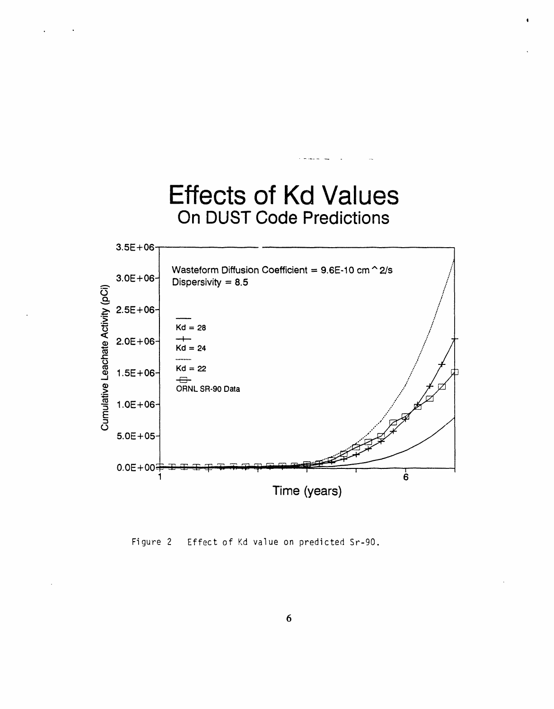

Figure 2 Effect of Kd value on predicted Sr-90.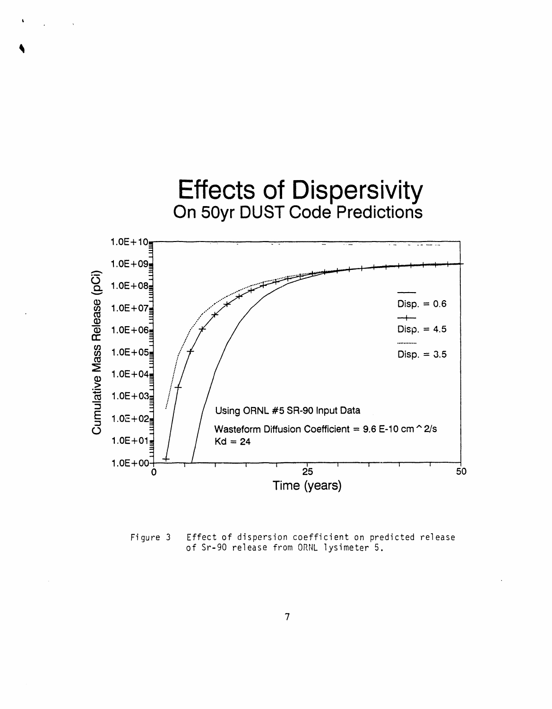

Figure 3 Effect of dispersion coefficient on predicted release of Sr-90 release from ORNL lysimeter 5.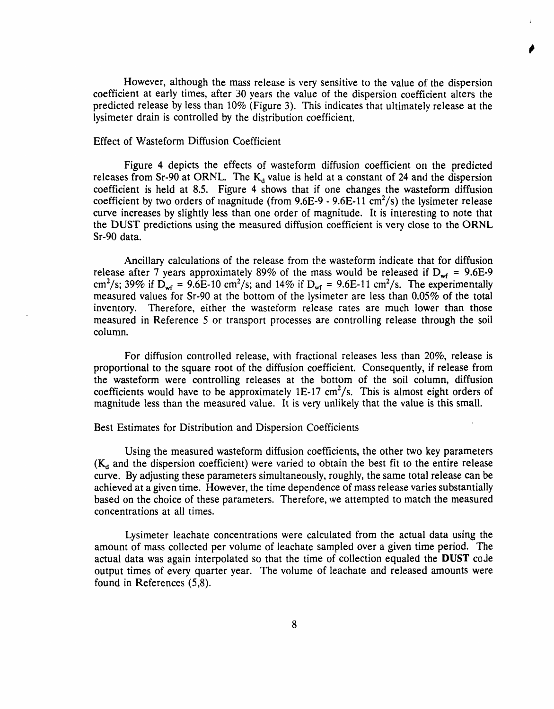However, although the mass release is very sensitive to the value of the dispersion coeffi*c*ient at early times, after 30 years the value of the dispersion coefficient alters the predicted release by less than 10% (Figure 3). This indicates that ultimately release at the lysimeter drain is controlled by the distribution coefficient.

### Effect of Wasteform Diffusion Coefficient

Figure 4 depicts the effects of wasteform diffusion coefficient on the predicted releases from Sr-90 at ORNL. The  $K_d$  value is held at a constant of 24 and the dispersion coefficient is held at 8.5. Figure 4 shows that if one changes the wasteform diffusion coefficient by two orders of magnitude (from 9.6E-9 - 9.6E-11 cm<sup>2</sup>/s) the lysimeter release curve increases by slightly less than one order of magnitude, lt is interesting to note that the DUST predictions using the measured diffusion coefficient is very close to the ORNL Sr-90 data.

Ancillary calculations of the release from the wasteform indicate that for diffusion release after 7 years approximately 89% of the mass would be released if  $D_{wf}$  = 9.6E-9 cm<sup>2</sup>/s; 39% if  $D_{\text{wf}} = 9.6E-10 \text{ cm}^2/\text{s}$ ; and 14% if  $D_{\text{wf}} = 9.6E-11 \text{ cm}^2/\text{s}$ . The experimentally measured values for Sr-90 at the bottom of the lysimeter are less than 0.05% of the total inventory. Therefore, either the wasteform release rates are much lower than those measured in Reference 5 or transport processes are controlling release through the soil column.

For diffusion controlled release, with fractional releases less than 20%, release is proportional to the square root of the diffusion coeffi*c*ient. Consequently, if release from the wasteform were controlling releases at the bottom of the soil column, diffusion coefficients would have to be approximately  $1E-17 \text{ cm}^2/\text{s}$ . This is almost eight orders of magnitude less than the measured value. It is very unlikely that the value is this small.

#### Best Estimates for Distribution and Dispersion Coefficients

Using the measured wasteform diffusion coefficients, the other two key parameters (K*a* and the dispersion coefficient) were varied to obtain the best fit to the entire release curve. By adjusting these parameters simultaneously, roughly, the same total release can be achieved at a given time. However, the time dependence of mass release varies substantially based on the choice of these parameters. Therefore, we attempted to match the measured concentrations at ali ti*m*es.

Lysimeter leachate concentrations were calculated from the actual data using the amount of mass collected per volume of leachate sampled over a given time period. *T*he actual data was again interpolated so that the time of collection equaled the DUST code output times of every quarter year. The volume of leachate and released amounts were found in References (5,8).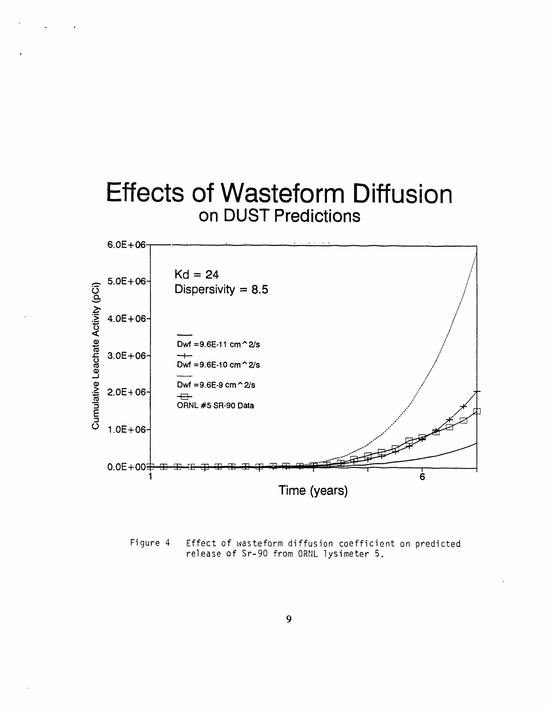



Effect of wasteform diffusion coefficient on predicted Figure 4 release of Sr-90 from ORNL lysimeter 5.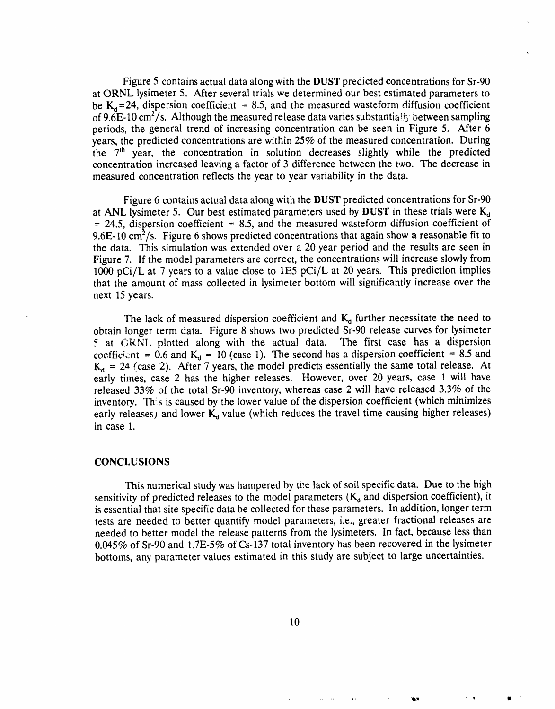Figure 5 contains actual data along with the DUST predicted **c**oncentrations for Sr-90 at ORNL lysimeter 5. Aft**e**r several trials we determined our best estimated param**e**ters to be  $K_d$ =24, dispersion coefficient = 8.5, and the measured wasteform diffusion coefficient of 9.6E-10 cm2*/*s. Although the measured release data varies substantia!\_y betwe**e**n sampling periods, the general trend o**f** increasing concentration can be seen in Figure 5. After 6 years, the pr**e**dicted concentrations are within 25% of the m**e**asured con**c**entration. During the 7<sup>th</sup> year, the concentration in solution decreases slightly while the predicted concentration increas**e**d l**e**aving a **f**actor of 3 di**f**ferenc**e** betw**e**en the two. The d**e**crease in measur**e**d concentration re**f**lects the year to year variability in the data.

Figure 6 c**o**ntains actual data al**o**ng with the DUST predicted concentrati**o**ns for Sr-9**0** at ANL lysimeter 5. Our best estimated parameters used by DUST in these trials were K*,*\_  $= 24.5$ , dispersion coefficient  $= 8.5$ , and the measured wasteform diffusion coefficient of 9.6E-10 cm<sup>2</sup>/s. Figure 6 shows predicted concentrations that again show a reasonable fit to the data. This simulation was extended over a 20 year period and the results are seen in Figure 7. If the model parameters are correct, the concentrations will increase slowly from 1000 pCi*/*L at 7 years to a value close to lE5 pCi*/*L at 20 years. This prediction implies that the amount of mass collected in lysimeter bottom will significantly increase over the next 15 years.

The lack o**f** measured dispersion coefficient and K*a* fur**t**her necessitate the need to obtai*n* longer term data. Figure 8 shows two predicted Sr-90 release curves for lysimeter 5 at GRNL plotted along with the actual data. The first case has a dispersion coefficient = 0.6 and  $K_d$  = 10 (case 1). The second has a dispersion coefficient = 8.5 and  $K_d = 24$  (case 2). After 7 years, the model predicts essentially the same total release. At early times, case 2 has the higher releases. However, over 20 years, case 1 will have released 33% of the total Sr-90 inventory, whereas case 2 will have released 3.3% of the inventory. Th*:*s is caused by the lower value of the dispersion coefficient (which minimizes early releases) and lower K<sub>a</sub> value (which reduces the travel time causing higher releases) in case 1.

#### CONCL**U**S**I**ONS

This numerical study was hampered by ti**:**e lack of soil specific data. Due to the high sensitivity of predicted releases to the model parameters (K*a* and dispersion coefficient), it is essential that site specific data be collected for these parameters. In addition, longer term tests are needed to better quantify model parameters, i.e., greater fractional releases are needed to better model the release patterns from the lysimeters. In fa*c*t, because less than 0.045% of Sr-90 and 1.7E-5% of Cs-137 total inventory has been recovered in the lysimeter bottoms, any parameter values estimated in this study are subject to large uncertainties.

.... **\***' \_i\_I **'** \_'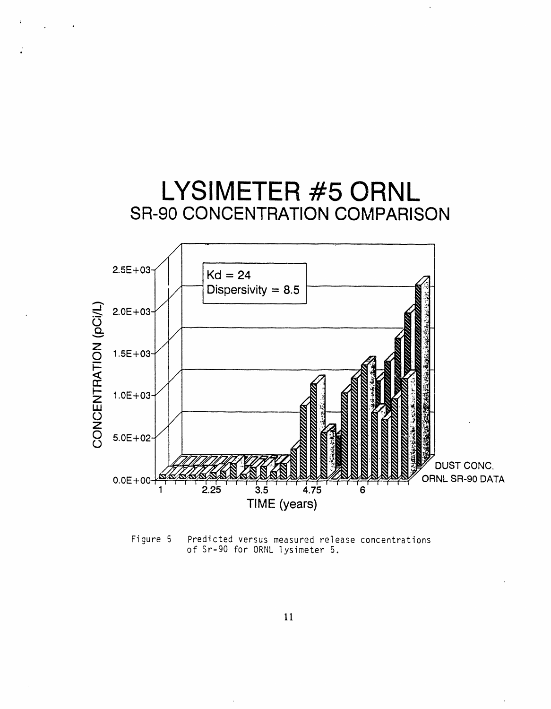

Figure 5 Predicted versus measured release concentrations of Sr-90 for ORNL lysimeter 5.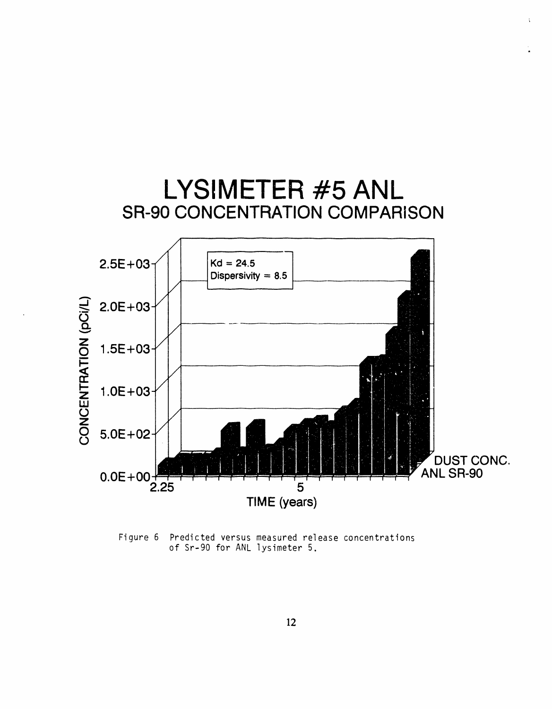

Figure 6 Predicted versus measured release concentrations of Sr-90 for ANL lysimeter 5.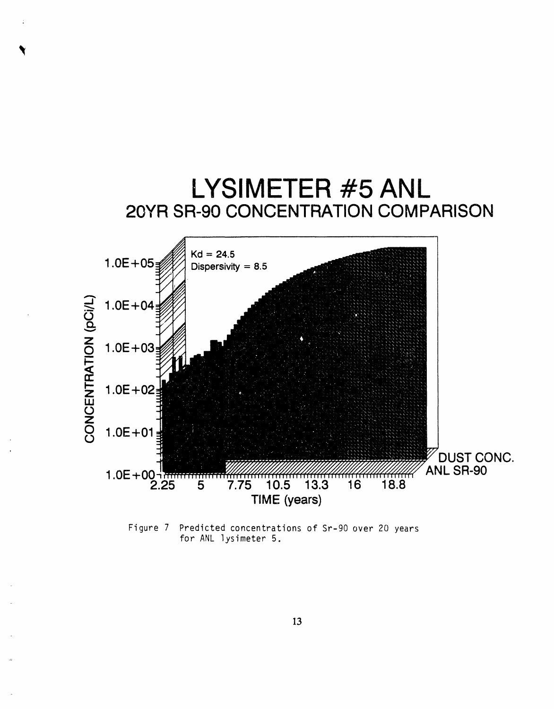

Figure 7 Predicted concentrations of Sr-90 over 20 years for ANL lysimeter 5.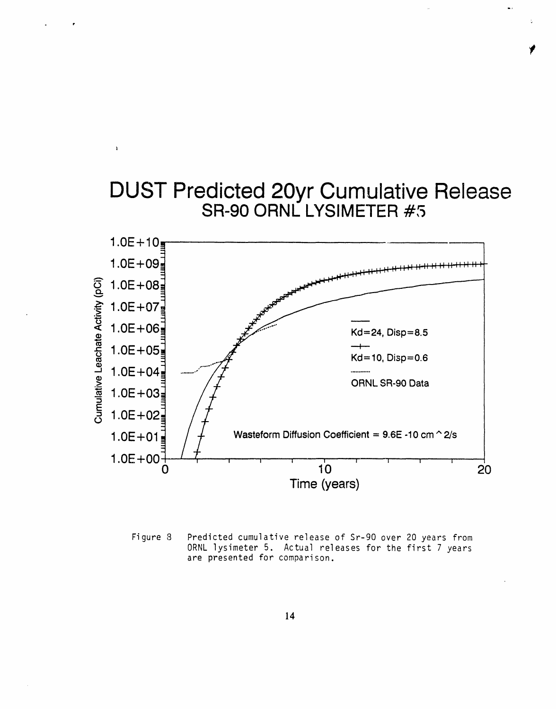# DUST Predicted 20yr Cumulative Release SR-90 ORNL LYSlMETER #5  $1.0E + 10$  $1.0E + 09$  $1.0E + 08$  $1.0E + 07$ .\_  $1.0E + 06$  Kd=24, Disp=8.5  $1.0E + 05$  $Kd = 10$ , Disp=0.6 " 1.0E+04 ......... " ........... ORNL SR-90 Data  $1.0E + 03$ E  $1.0E + 02$ 1.0E + 01  $\frac{1}{2}$  /  $\frac{1}{2}$  Wasteform Diffusion Coefficient = 9.6E -10 cm  $\degree$  2/s  $1.0E+00$ <sup>1</sup>  $10$  $0$  and  $10$  and  $20$ Time (years)

 $\pmb{\chi}$ 

Figure 8 Predicted cumulative rele**a**se of Sr-9**0** over 2**0** years from ORNL lysimeter 5. Actual releases for the first 7 years are presented for comparison.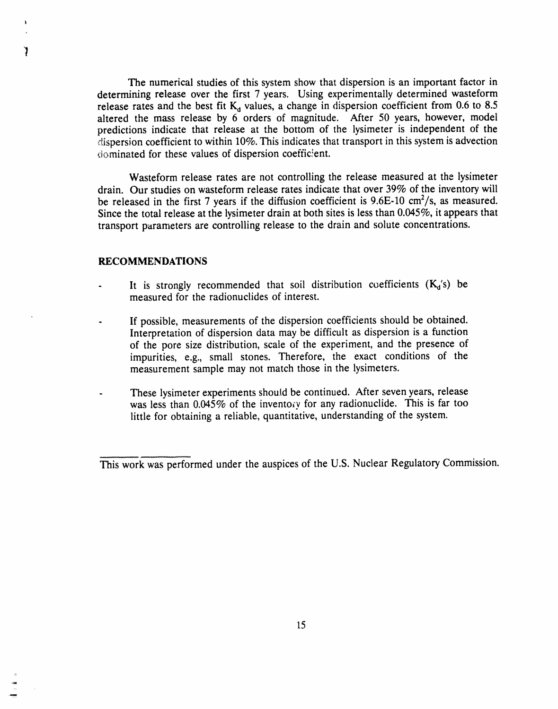The numerical s**t**udies of **t**his **s**ystem show that dispersion is an important fac**t**or in determining release over the first 7 years. Using experimentally determined wasteform release rates and the best fit  $K_d$  values, a change in dispersion coefficient from 0.6 to 8.5 altered the mass release by 6 orders of magnitude. After 50 years, however, model predictions indicate that release at the bottom of the lysimeter is independent of the disp**e**rsion coefficient to within 10%. This indica**t**es that transport in this system is adv**e**c**t**ion dominated for these values of dispersion coefficient.

Wasteform release rates are not controlling the release measured at the lysimeter drain. Our studies on wasteform release rates indicate that over 39% of the inventory will be released in the first 7 years if the diffusion coefficient is 9.6E-10 cm<sup>2</sup>/s, as measured. Since the total release at the lysimeter drain at both sites is less than 0.045**%**, it appears that transport p**a**rameters are controlling release to the drain and solute concentrations.

## **RECOMMENDATIONS**

1

- It is strongly recommended that soil distribution coefficients  $(K_d/s)$  be **measu**r**ed fo**r **t**h**e** r**adionuclides of inte**r**est.**
- **If** p**ossi**b**le**, **me**as**ur**em**ents of t**h**e dis**p**e**r**sion coefficients s**h**ould** b**e o**b**tained**. **Inte**r**p**r**eta**t**ion of dispe**r**sion data** m**ay** b**e difficult as dis**p**e**r**sion is a function of t**he p**o**re **size distri**b**ution**, **scale of t**h**e ex**p**e**r**iment**, **and t**h**e p**r**esence of im**p**urities**, **e.g**., **small stones.** Th**erefo**r**e**, the **exact conditions of t**he **measu**r**ement sam**p**le** m**ay not matc**h **t**h**ose in t**h**e lysimeters.**
- **-** Th**es**e **lysi**m**eter experi**m**ents s**ho**u**l**d be continued**. Af**ter seven yea**r**s**, **release** w**as less t**h**an 0.04**5**% o**f **t**h**e invento**r**y fo**r **any radionuclide**. Th**is is fa**r **too little for o**b**taining a** r**elia**b**le**, **quantitative**, **unde**r**standing of t**h**e system.**

This work was performed under the auspices of the U.S. Nuclear Regulatory Commission.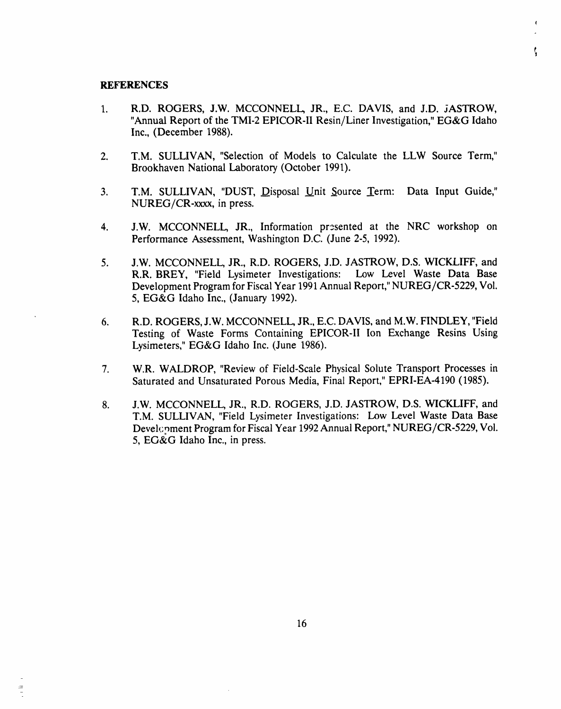#### **REFERENCES**

1. R**.D**. ROGERS, J**.**W. **M**CCONNELL, JR., E.*C*. DAVIS, an**d J**.**D.** jASTROW, "Annual Report of the TMI-2 EPICOR-II Resin*/*Liner Investigation," EG&G Idaho Inc., (December 1988).

ţ

- 2. T,M. SULLIVAN, "Selection of Models to Calculate the LLW Source Term," Brookhaven National Laboratory (October 1991).
- 3. T.M. SULLIVAN, "DUST, Disposal Unit Source Term: Data Input Guide," NUREG*/*CR-xxxx, in press.
- 4. J.W. MCCONNELL, JR., Information presented at the NRC workshop on Performance Assessment, Washington D.C. (June 2-5, 1992).
- 5. J.W. MCCONNELL, JR., R.D. ROGERS, J.D. JASTROW, D.S. WlCKLIFF, and R.R. BREY, "Field Lysimeter In*v*estigations: Low Level Waste Data Base Development Program for Fiscal Year 1991 Annual Report," NUREG*/*CR-5229, Vol. 5, EG&G Idaho Inc., (January 1992).
- 6. R.D. ROGERS, J.W. MCCONNELL JR., E.C. DAVIS, and M.W. FINDLEY, "Field Testing of Waste Forms Containing EPICOR-II Ion Exchange Resins Using Lysimeters," EG&G Idaho Inc. (June 1986).
- 7. W.R. WALDROP, "Review of Field-Scale Physical Solute Transport Processes in Saturated and Unsaturated Porous Media, Final Report," EPRI-EA-4190 (1985).
- 8. J.W. MCCONNELL, JR., R.D. ROGERS, J.D. JASTROW, D.S. WlCKLIFF, and T.M. SULLIVAN, "Field Lysimeter Investigations: Low Level Waste Data Base Devel<sub>C</sub>oment Program for Fiscal Year 1992 Annual Report," NUREG/CR-5229, Vol. 5, EG&G Idaho Inc., in press.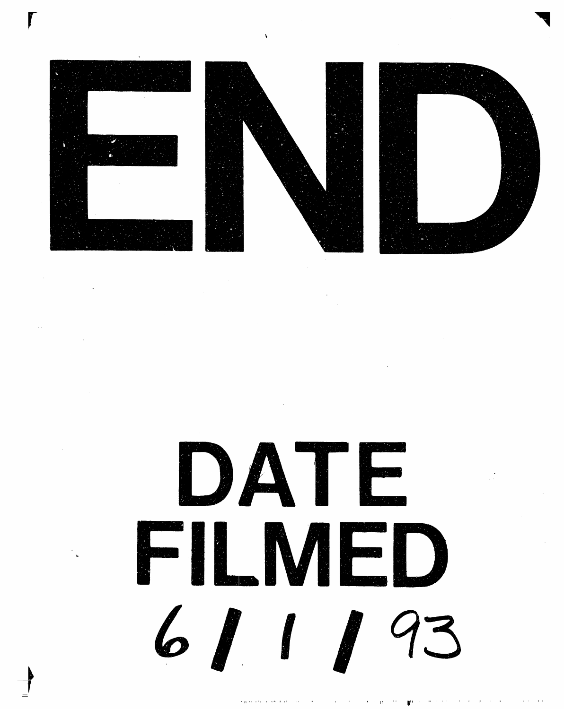





DATE FILMFD 6/1/93